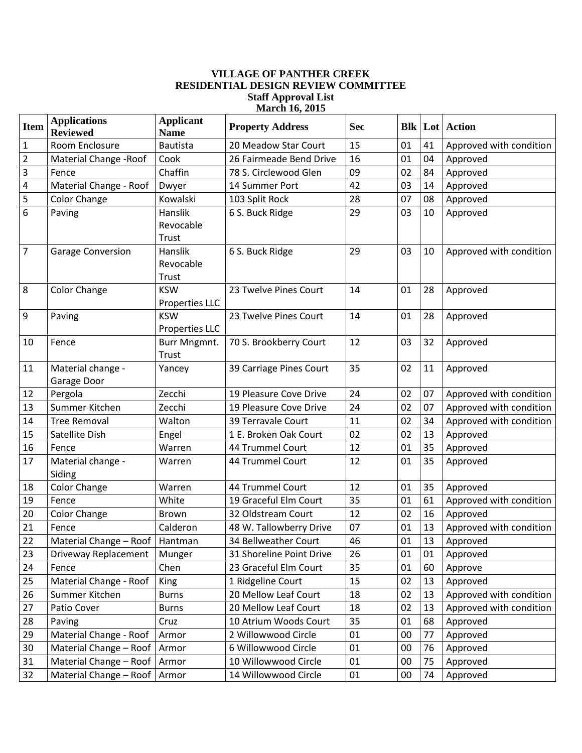## **VILLAGE OF PANTHER CREEK RESIDENTIAL DESIGN REVIEW COMMITTEE Staff Approval List March 16, 2015**

| <b>Item</b>    | <b>Applications</b><br><b>Reviewed</b> | <b>Applicant</b><br><b>Name</b>     | <b>Property Address</b>  | <b>Sec</b> |        |    | <b>Blk   Lot   Action</b> |
|----------------|----------------------------------------|-------------------------------------|--------------------------|------------|--------|----|---------------------------|
| 1              | Room Enclosure                         | <b>Bautista</b>                     | 20 Meadow Star Court     | 15         | 01     | 41 | Approved with condition   |
| $\overline{2}$ | Material Change - Roof                 | Cook                                | 26 Fairmeade Bend Drive  | 16         | 01     | 04 | Approved                  |
| 3              | Fence                                  | Chaffin                             | 78 S. Circlewood Glen    | 09         | 02     | 84 | Approved                  |
| 4              | Material Change - Roof                 | Dwyer                               | 14 Summer Port           | 42         | 03     | 14 | Approved                  |
| 5              | <b>Color Change</b>                    | Kowalski                            | 103 Split Rock           | 28         | 07     | 08 | Approved                  |
| 6              | Paving                                 | Hanslik<br>Revocable<br>Trust       | 6 S. Buck Ridge          | 29         | 03     | 10 | Approved                  |
| $\overline{7}$ | <b>Garage Conversion</b>               | Hanslik<br>Revocable<br>Trust       | 6 S. Buck Ridge          | 29         | 03     | 10 | Approved with condition   |
| 8              | <b>Color Change</b>                    | <b>KSW</b><br>Properties LLC        | 23 Twelve Pines Court    | 14         | 01     | 28 | Approved                  |
| 9              | Paving                                 | <b>KSW</b><br><b>Properties LLC</b> | 23 Twelve Pines Court    | 14         | 01     | 28 | Approved                  |
| 10             | Fence                                  | Burr Mngmnt.<br>Trust               | 70 S. Brookberry Court   | 12         | 03     | 32 | Approved                  |
| 11             | Material change -<br>Garage Door       | Yancey                              | 39 Carriage Pines Court  | 35         | 02     | 11 | Approved                  |
| 12             | Pergola                                | Zecchi                              | 19 Pleasure Cove Drive   | 24         | 02     | 07 | Approved with condition   |
| 13             | Summer Kitchen                         | Zecchi                              | 19 Pleasure Cove Drive   | 24         | 02     | 07 | Approved with condition   |
| 14             | <b>Tree Removal</b>                    | Walton                              | 39 Terravale Court       | 11         | 02     | 34 | Approved with condition   |
| 15             | Satellite Dish                         | Engel                               | 1 E. Broken Oak Court    | 02         | 02     | 13 | Approved                  |
| 16             | Fence                                  | Warren                              | 44 Trummel Court         | 12         | 01     | 35 | Approved                  |
| 17             | Material change -<br>Siding            | Warren                              | 44 Trummel Court         | 12         | 01     | 35 | Approved                  |
| 18             | <b>Color Change</b>                    | Warren                              | 44 Trummel Court         | 12         | 01     | 35 | Approved                  |
| 19             | Fence                                  | White                               | 19 Graceful Elm Court    | 35         | 01     | 61 | Approved with condition   |
| 20             | <b>Color Change</b>                    | <b>Brown</b>                        | 32 Oldstream Court       | 12         | 02     | 16 | Approved                  |
| 21             | Fence                                  | Calderon                            | 48 W. Tallowberry Drive  | 07         | 01     | 13 | Approved with condition   |
| 22             | Material Change - Roof   Hantman       |                                     | 34 Bellweather Court     | 46         | $01\,$ | 13 | Approved                  |
| 23             | Driveway Replacement                   | Munger                              | 31 Shoreline Point Drive | 26         | 01     | 01 | Approved                  |
| 24             | Fence                                  | Chen                                | 23 Graceful Elm Court    | 35         | 01     | 60 | Approve                   |
| 25             | Material Change - Roof                 | King                                | 1 Ridgeline Court        | 15         | 02     | 13 | Approved                  |
| 26             | Summer Kitchen                         | <b>Burns</b>                        | 20 Mellow Leaf Court     | 18         | 02     | 13 | Approved with condition   |
| 27             | Patio Cover                            | <b>Burns</b>                        | 20 Mellow Leaf Court     | 18         | 02     | 13 | Approved with condition   |
| 28             | Paving                                 | Cruz                                | 10 Atrium Woods Court    | 35         | 01     | 68 | Approved                  |
| 29             | Material Change - Roof                 | Armor                               | 2 Willowwood Circle      | 01         | 00     | 77 | Approved                  |
| 30             | Material Change - Roof                 | Armor                               | 6 Willowwood Circle      | 01         | 00     | 76 | Approved                  |
| 31             | Material Change - Roof   Armor         |                                     | 10 Willowwood Circle     | 01         | 00     | 75 | Approved                  |
| 32             | Material Change - Roof   Armor         |                                     | 14 Willowwood Circle     | 01         | 00     | 74 | Approved                  |